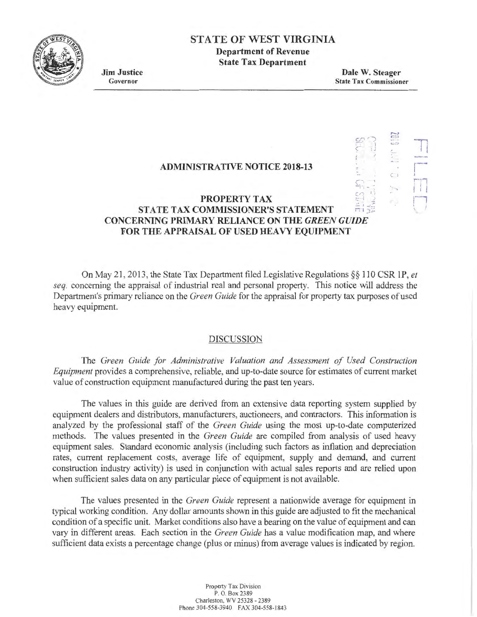

# **STATE OF WEST VIRGINIA**

**Department of Revenue State Tax Department** 

**Jim Justice**  Governor

**Dale W. Steager**  State Tax Commissioner

 $\overline{\phantom{0}}$ 

 $\mathcal{L}$ 

**r·"""·**  I I I '

 $\mathbb{I}$ ·-i

 $G^{\prime}$  ) r  $G^{\prime}$  $\mathbb{R}^n \rightarrow \mathbb{R}$ 

## **ADMINISTRATIVE NOTICE 2018-13**

#### **PROPERTY TAX** :.:. I **STATE TAX COMMISSIONER'S STATEMENT CONCERNING PRIMARY RELIANCE ON THE** *GREEN GUIDE*  **FOR THE APPRAISAL OF USED HEAVY EQUIPMENT**

On May 21, 2013, the State Tax Department filed Legislative Regulations §§ 110 CSR 1P, *et seq.* concerning the appraisal of industrial real and personal property. This notice will address the Department's primary reliance on the *Green Guide* for the appraisal for property tax purposes of used heavy equipment.

### DISCUSSION

The *Green Guide for Administrative Valuation and Assessment of Used Construction Equipment* provides a comprehensive, reliable, and up-to-date source for estimates of current market value of construction equipment manufactured during the past ten years.

The values in this guide are derived from an extensive data reporting system supplied by equipment dealers and distributors, manufacturers, auctioneers, and contractors. This information is analyzed by the professional staff of the *Green Guide* using the most up-to-date computerized methods. The values presented in the *Green Guide* are compiled from analysis of used heavy equipment sales. Standard economic analysis (including such factors as inflation and depreciation rates, current replacement costs, average life of equipment, supply and demand, and current construction industry activity) is used in conjunction with actual sales reports and are relied upon when sufficient sales data on any particular piece of equipment is not available.

The values presented in the *Green Guide* represent a nationwide average for equipment in typical working condition. Any dollar amounts shown in this guide are adjusted to fit the mechanical condition of a specific unit. Market conditions also have a bearing on the value of equipment and can vary in different areas. Each section in the *Green Guide* has a value modification map, and where sufficient data exists a percentage change (plus or minus) from average values is indicated by region.

> Property Tax Division P. O. Box 2389 Charleston. WV 25328 - 2389 Phone 304-558-3940 FAX 304-558-1843